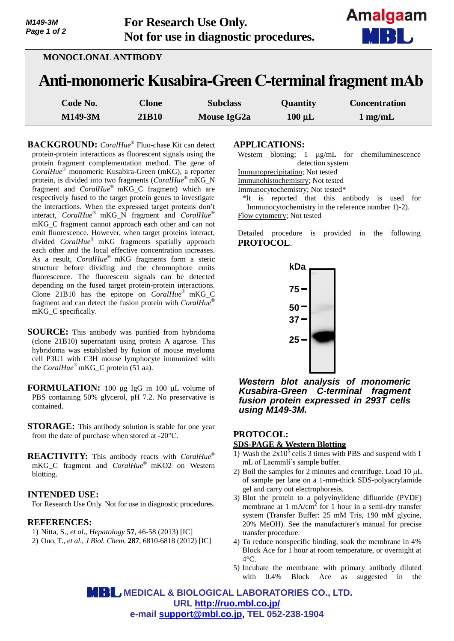| M149-3M     | <b>For Research Use Only.</b>         | Amalga |
|-------------|---------------------------------------|--------|
| Page 1 of 2 | Not for use in diagnostic procedures. | MBH    |
|             | <b>MONOCLONAL ANTIBODY</b>            |        |

|         |       |          |          | Anti-monomeric Kusabira-Green C-terminal fragment mAb |
|---------|-------|----------|----------|-------------------------------------------------------|
| Code No | Clone | Subelace | Auontity | Concentration                                         |

| <b>Code No.</b> | Clone        | <b>Subclass</b> | <b>Quantity</b> | <b>Concentration</b> |
|-----------------|--------------|-----------------|-----------------|----------------------|
| <b>M149-3M</b>  | <b>21B10</b> | Mouse IgG2a     | $100 \mu L$     | $1$ mg/mL            |

**BACKGROUND:** *CoralHue*® Fluo-chase Kit can detect protein-protein interactions as fluorescent signals using the protein fragment complementation method. The gene of *CoralHue*® monomeric Kusabira-Green (mKG), a reporter protein, is divided into two fragments (*CoralHue*® mKG\_N fragment and *CoralHue*® mKG\_C fragment) which are respectively fused to the target protein genes to investigate the interactions. When the expressed target proteins don't interact, *CoralHue*® mKG\_N fragment and *CoralHue*® mKG\_C fragment cannot approach each other and can not emit fluorescence. However, when target proteins interact, divided *CoralHue*® mKG fragments spatially approach each other and the local effective concentration increases. As a result, *CoralHue*® mKG fragments form a steric structure before dividing and the chromophore emits fluorescence. The fluorescent signals can be detected depending on the fused target protein-protein interactions. Clone 21B10 has the epitope on *CoralHue*® mKG\_C fragment and can detect the fusion protein with *CoralHue*® mKG\_C specifically.

- **SOURCE:** This antibody was purified from hybridoma (clone 21B10) supernatant using protein A agarose. This hybridoma was established by fusion of mouse myeloma cell P3U1 with C3H mouse lymphocyte immunized with the *CoralHue*<sup>®</sup> mKG C protein (51 aa).
- **FORMULATION:** 100 µg IgG in 100 µL volume of PBS containing 50% glycerol, pH 7.2. No preservative is contained.
- **STORAGE:** This antibody solution is stable for one year from the date of purchase when stored at -20°C.
- **REACTIVITY:** This antibody reacts with *CoralHue*® mKG\_C fragment and *CoralHue*® mKO2 on Western blotting.

### **INTENDED USE:**

For Research Use Only. Not for use in diagnostic procedures.

### **REFERENCES:**

- 1) Nitta, S., *et al*., *Hepatology* **57**, 46-58 (2013) [IC]
- 2) Ono, T., *et al*., *J Biol. Chem.* **287**, 6810-6818 (2012) [IC]

### **APPLICATIONS:**

Western blotting;  $1 \mu g/mL$  for chemiluminescence detection system Immunoprecipitation; Not tested Immunohistochemistry; Not tested Immunocytochemistry; Not tested\*

\*It is reported that this antibody is used for Immunocytochemistry in the reference number 1)-2). Flow cytometry; Not tested

Detailed procedure is provided in the following **PROTOCOL**.



*Western blot analysis of monomeric Kusabira-Green C-terminal fragment fusion protein expressed in 293T cells using M149-3M.*

# **PROTOCOL:**

### **SDS-PAGE & Western Blotting**

- 1) Wash the  $2x10^5$  cells 3 times with PBS and suspend with 1 mL of Laemmli's sample buffer.
- 2) Boil the samples for 2 minutes and centrifuge. Load  $10 \mu L$ of sample per lane on a 1-mm-thick SDS-polyacrylamide gel and carry out electrophoresis.
- 3) Blot the protein to a polyvinylidene difluoride (PVDF) membrane at  $1 \text{ mA/cm}^2$  for 1 hour in a semi-dry transfer system (Transfer Buffer: 25 mM Tris, 190 mM glycine, 20% MeOH). See the manufacturer's manual for precise transfer procedure.
- 4) To reduce nonspecific binding, soak the membrane in 4% Block Ace for 1 hour at room temperature, or overnight at  $4^{\circ}C$ .
- 5) Incubate the membrane with primary antibody diluted with 0.4% Block Ace as suggested in the

 **MEDICAL & BIOLOGICAL LABORATORIES CO., LTD. URL<http://ruo.mbl.co.jp/> e-mail [support@mbl.co.jp,](mailto:support@mbl.co.jp) TEL 052-238-1904**